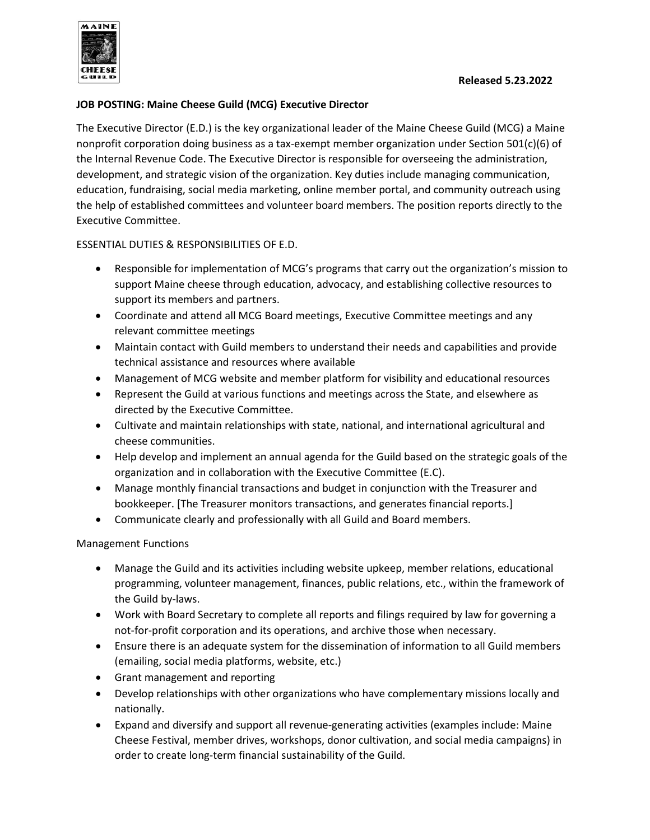

## **JOB POSTING: Maine Cheese Guild (MCG) Executive Director**

The Executive Director (E.D.) is the key organizational leader of the Maine Cheese Guild (MCG) a Maine nonprofit corporation doing business as a tax-exempt member organization under Section 501(c)(6) of the Internal Revenue Code. The Executive Director is responsible for overseeing the administration, development, and strategic vision of the organization. Key duties include managing communication, education, fundraising, social media marketing, online member portal, and community outreach using the help of established committees and volunteer board members. The position reports directly to the Executive Committee.

# ESSENTIAL DUTIES & RESPONSIBILITIES OF E.D.

- Responsible for implementation of MCG's programs that carry out the organization's mission to support Maine cheese through education, advocacy, and establishing collective resources to support its members and partners.
- Coordinate and attend all MCG Board meetings, Executive Committee meetings and any relevant committee meetings
- Maintain contact with Guild members to understand their needs and capabilities and provide technical assistance and resources where available
- Management of MCG website and member platform for visibility and educational resources
- Represent the Guild at various functions and meetings across the State, and elsewhere as directed by the Executive Committee.
- Cultivate and maintain relationships with state, national, and international agricultural and cheese communities.
- Help develop and implement an annual agenda for the Guild based on the strategic goals of the organization and in collaboration with the Executive Committee (E.C).
- Manage monthly financial transactions and budget in conjunction with the Treasurer and bookkeeper. [The Treasurer monitors transactions, and generates financial reports.]
- Communicate clearly and professionally with all Guild and Board members.

#### Management Functions

- Manage the Guild and its activities including website upkeep, member relations, educational programming, volunteer management, finances, public relations, etc., within the framework of the Guild by-laws.
- Work with Board Secretary to complete all reports and filings required by law for governing a not-for-profit corporation and its operations, and archive those when necessary.
- Ensure there is an adequate system for the dissemination of information to all Guild members (emailing, social media platforms, website, etc.)
- Grant management and reporting
- Develop relationships with other organizations who have complementary missions locally and nationally.
- Expand and diversify and support all revenue-generating activities (examples include: Maine Cheese Festival, member drives, workshops, donor cultivation, and social media campaigns) in order to create long-term financial sustainability of the Guild.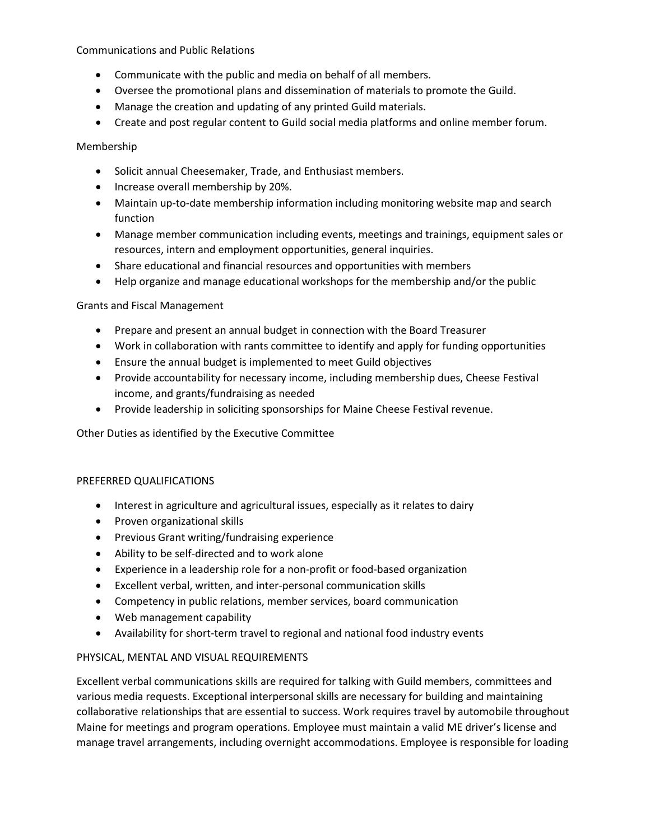Communications and Public Relations

- Communicate with the public and media on behalf of all members.
- Oversee the promotional plans and dissemination of materials to promote the Guild.
- Manage the creation and updating of any printed Guild materials.
- Create and post regular content to Guild social media platforms and online member forum.

Membership

- Solicit annual Cheesemaker, Trade, and Enthusiast members.
- Increase overall membership by 20%.
- Maintain up-to-date membership information including monitoring website map and search function
- Manage member communication including events, meetings and trainings, equipment sales or resources, intern and employment opportunities, general inquiries.
- Share educational and financial resources and opportunities with members
- Help organize and manage educational workshops for the membership and/or the public

#### Grants and Fiscal Management

- Prepare and present an annual budget in connection with the Board Treasurer
- Work in collaboration with rants committee to identify and apply for funding opportunities
- Ensure the annual budget is implemented to meet Guild objectives
- Provide accountability for necessary income, including membership dues, Cheese Festival income, and grants/fundraising as needed
- Provide leadership in soliciting sponsorships for Maine Cheese Festival revenue.

Other Duties as identified by the Executive Committee

#### PREFERRED QUALIFICATIONS

- Interest in agriculture and agricultural issues, especially as it relates to dairy
- Proven organizational skills
- Previous Grant writing/fundraising experience
- Ability to be self-directed and to work alone
- Experience in a leadership role for a non-profit or food-based organization
- Excellent verbal, written, and inter-personal communication skills
- Competency in public relations, member services, board communication
- Web management capability
- Availability for short-term travel to regional and national food industry events

#### PHYSICAL, MENTAL AND VISUAL REQUIREMENTS

Excellent verbal communications skills are required for talking with Guild members, committees and various media requests. Exceptional interpersonal skills are necessary for building and maintaining collaborative relationships that are essential to success. Work requires travel by automobile throughout Maine for meetings and program operations. Employee must maintain a valid ME driver's license and manage travel arrangements, including overnight accommodations. Employee is responsible for loading